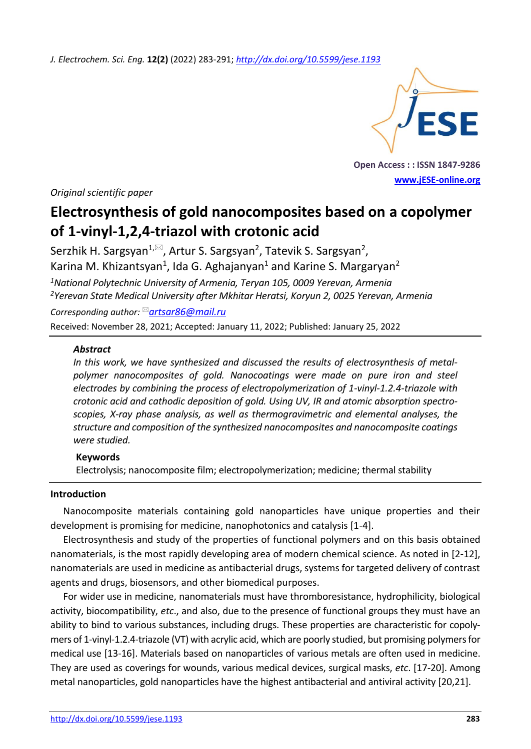*J. Electrochem. Sci. Eng.* **12(2)** (2022) 283-291; *<http://dx.doi.org/10.5599/jese.1193>*



**Open Access : : ISSN 1847-9286 [www.jESE-online.org](http://www.jese-online.org/)**

*Original scientific paper*

# **Electrosynthesis of gold nanocomposites based on a copolymer of 1-vinyl-1,2,4-triazol with crotonic acid**

Serzhik H. Sargsyan $^{1,\boxtimes}$ , Artur S. Sargsyan<sup>2</sup>, Tatevik S. Sargsyan<sup>2</sup>, Karina M. Khizantsyan<sup>1</sup>, Ida G. Aghajanyan<sup>1</sup> and Karine S. Margaryan<sup>2</sup> *<sup>1</sup>National Polytechnic University of Armenia, Teryan 105, 0009 Yerevan, Armenia*

*<sup>2</sup>Yerevan State Medical University after Mkhitar Heratsi, Koryun 2, 0025 Yerevan, Armenia*

*Corresponding author: [artsar86@mail.ru](mailto:artsar86@mail.ru)*

Received: November 28, 2021; Accepted: January 11, 2022; Published: January 25, 2022

#### *Abstract*

*In this work, we have synthesized and discussed the results of electrosynthesis of metalpolymer nanocomposites of gold. Nanocoatings were made on pure iron and steel electrodes by combining the process of electropolymerization of 1-vinyl-1.2.4-triazole with crotonic acid and cathodic deposition of gold. Using UV, IR and atomic absorption spectroscopies, X-ray phase analysis, as well as thermogravimetric and elemental analyses, the structure and composition of the synthesized nanocomposites and nanocomposite coatings were studied.*

#### **Keywords**

Electrolysis; nanocomposite film; electropolymerization; medicine; thermal stability

## **Introduction**

Nanocomposite materials containing gold nanoparticles have unique properties and their development is promising for medicine, nanophotonics and catalysis [1-4].

Electrosynthesis and study of the properties of functional polymers and on this basis obtained nanomaterials, is the most rapidly developing area of modern chemical science. As noted in [2-12], nanomaterials are used in medicine as antibacterial drugs, systems for targeted delivery of contrast agents and drugs, biosensors, and other biomedical purposes.

For wider use in medicine, nanomaterials must have thromboresistance, hydrophilicity, biological activity, biocompatibility, *etc*., and also, due to the presence of functional groups they must have an ability to bind to various substances, including drugs. These properties are characteristic for copolymers of 1-vinyl-1.2.4-triazole (VT) with acrylic acid, which are poorly studied, but promising polymers for medical use [13-16]. Materials based on nanoparticles of various metals are often used in medicine. They are used as coverings for wounds, various medical devices, surgical masks, *etc*. [17-20]. Among metal nanoparticles, gold nanoparticles have the highest antibacterial and antiviral activity [20,21].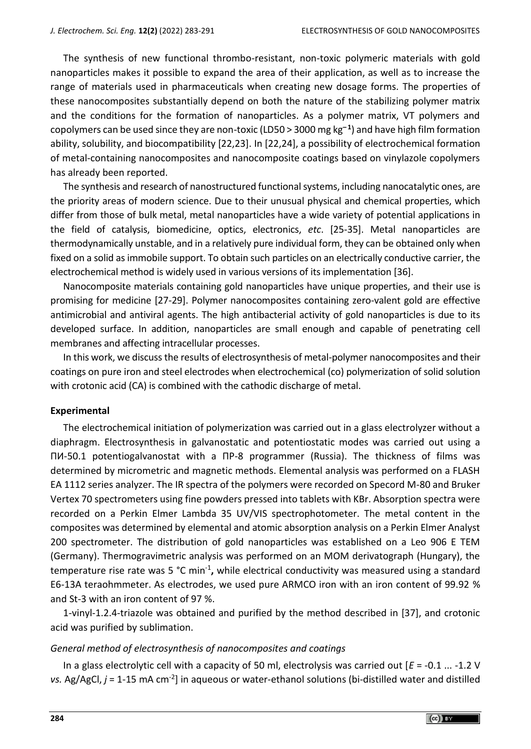The synthesis of new functional thrombo-resistant, non-toxic polymeric materials with gold nanoparticles makes it possible to expand the area of their application, as well as to increase the range of materials used in pharmaceuticals when creating new dosage forms. The properties of these nanocomposites substantially depend on both the nature of the stabilizing polymer matrix and the conditions for the formation of nanoparticles. As a polymer matrix, VT polymers and copolymers can be used since they are non-toxic (LD50 > 3000 mg kg**– <sup>1</sup>** ) and have high film formation ability, solubility, and biocompatibility [22,23]. In [22,24], a possibility of electrochemical formation of metal-containing nanocomposites and nanocomposite coatings based on vinylazole copolymers has already been reported.

The synthesis and research of nanostructured functional systems, including nanocatalytic ones, are the priority areas of modern science. Due to their unusual physical and chemical properties, which differ from those of bulk metal, metal nanoparticles have a wide variety of potential applications in the field of catalysis, biomedicine, optics, electronics, *etc*. [25-35]. Metal nanoparticles are thermodynamically unstable, and in a relatively pure individual form, they can be obtained only when fixed on a solid as immobile support. To obtain such particles on an electrically conductive carrier, the electrochemical method is widely used in various versions of its implementation [36].

Nanocomposite materials containing gold nanoparticles have unique properties, and their use is promising for medicine [27-29]. Polymer nanocomposites containing zero-valent gold are effective antimicrobial and antiviral agents. The high antibacterial activity of gold nanoparticles is due to its developed surface. In addition, nanoparticles are small enough and capable of penetrating cell membranes and affecting intracellular processes.

In this work, we discuss the results of electrosynthesis of metal-polymer nanocomposites and their coatings on pure iron and steel electrodes when electrochemical (co) polymerization of solid solution with crotonic acid (CA) is combined with the cathodic discharge of metal.

## **Experimental**

The electrochemical initiation of polymerization was carried out in a glass electrolyzer without a diaphragm. Electrosynthesis in galvanostatic and potentiostatic modes was carried out using a ПИ-50.1 potentiogalvanostat with a ПР-8 programmer (Russia). The thickness of films was determined by micrometric and magnetic methods. Elemental analysis was performed on a FLASH EA 1112 series analyzer. The IR spectra of the polymers were recorded on Specord M-80 and Bruker Vertex 70 spectrometers using fine powders pressed into tablets with KBr. Absorption spectra were recorded on a Perkin Elmer Lambda 35 UV/VIS spectrophotometer. The metal content in the composites was determined by elemental and atomic absorption analysis on a Perkin Elmer Analyst 200 spectrometer. The distribution of gold nanoparticles was established on a Leo 906 E TEM (Germany). Thermogravimetric analysis was performed on an MOM derivatograph (Hungary), the temperature rise rate was 5 °C min<sup>-1</sup>, while electrical conductivity was measured using a standard E6-13A teraohmmeter. As electrodes, we used pure ARMCO iron with an iron content of 99.92 % and St-3 with an iron content of 97 %.

1-vinyl-1.2.4-triazole was obtained and purified by the method described in [37], and crotonic acid was purified by sublimation.

## *General method of electrosynthesis of nanocomposites and coatings*

In a glass electrolytic cell with a capacity of 50 ml, electrolysis was carried out [*E* = -0.1 ... -1.2 V vs. Ag/AgCl, *j* = 1-15 mA cm<sup>-2</sup>] in aqueous or water-ethanol solutions (bi-distilled water and distilled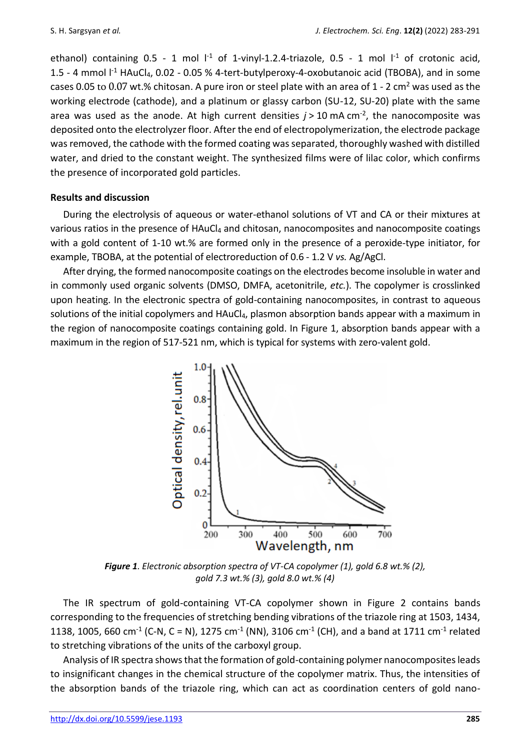ethanol) containing 0.5 - 1 mol  $I<sup>-1</sup>$  of 1-vinyl-1.2.4-triazole, 0.5 - 1 mol  $I<sup>-1</sup>$  of crotonic acid, 1.5 - 4 mmol  $I<sup>-1</sup>$  HAuCl<sub>4</sub>, 0.02 - 0.05 % 4-tert-butylperoxy-4-oxobutanoic acid (TBOBA), and in some cases 0.05 to 0.07 wt.% chitosan. A pure iron or steel plate with an area of  $1 - 2 \text{ cm}^2$  was used as the working electrode (cathode), and a platinum or glassy carbon (SU-12, SU-20) plate with the same area was used as the anode. At high current densities *j* > 10 mA cm-2 , the nanocomposite was deposited onto the electrolyzer floor. After the end of electropolymerization, the electrode package was removed, the cathode with the formed coating was separated, thoroughly washed with distilled water, and dried to the constant weight. The synthesized films were of lilac color, which confirms the presence of incorporated gold particles.

# **Results and discussion**

During the electrolysis of aqueous or water-ethanol solutions of VT and CА or their mixtures at various ratios in the presence of HAuCl<sub>4</sub> and chitosan, nanocomposites and nanocomposite coatings with a gold content of 1-10 wt.% are formed only in the presence of a peroxide-type initiator, for example, TBOBA, at the potential of electroreduction of 0.6 - 1.2 V *vs.* Аg/AgCl.

After drying, the formed nanocomposite coatings on the electrodes become insoluble in water and in commonly used organic solvents (DMSO, DMFА, acetonitrile, *etc.*). The copolymer is crosslinked upon heating. In the electronic spectra of gold-containing nanocomposites, in contrast to aqueous solutions of the initial copolymers and HAuCl<sub>4</sub>, plasmon absorption bands appear with a maximum in the region of nanocomposite coatings containing gold. In Figure 1, absorption bands appear with a maximum in the region of 517-521 nm, which is typical for systems with zero-valent gold.



*Figure 1. Electronic absorption spectra of VT-CA copolymer (1), gold 6.8 wt.% (2), gold 7.3 wt.% (3), gold 8.0 wt.% (4)*

The IR spectrum of gold-containing VT-CA copolymer shown in Figure 2 contains bands corresponding to the frequencies of stretching bending vibrations of the triazole ring at 1503, 1434, 1138, 1005, 660 cm<sup>-1</sup> (C-N, C = N), 1275 cm<sup>-1</sup> (NN), 3106 cm<sup>-1</sup> (CH), and a band at 1711 cm<sup>-1</sup> related to stretching vibrations of the units of the carboxyl group.

Analysis of IR spectra shows that the formation of gold-containing polymer nanocomposites leads to insignificant changes in the chemical structure of the copolymer matrix. Thus, the intensities of the absorption bands of the triazole ring, which can act as coordination centers of gold nano-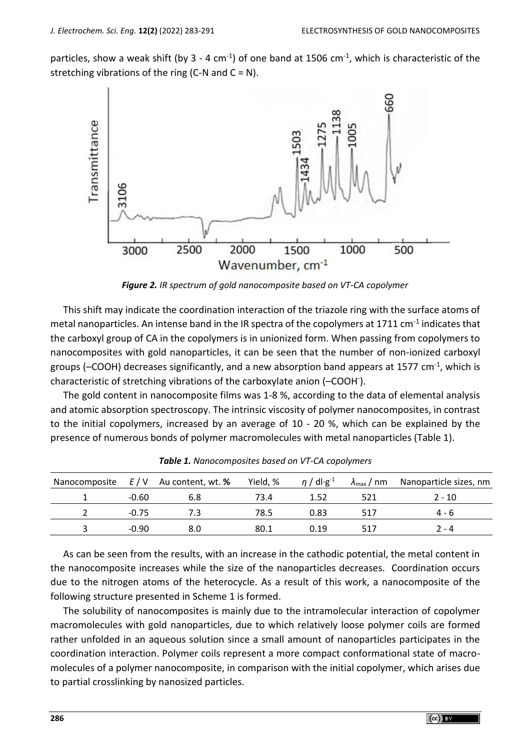particles, show a weak shift (by 3 - 4 cm<sup>-1</sup>) of one band at 1506 cm<sup>-1</sup>, which is characteristic of the stretching vibrations of the ring (C-N and  $C = N$ ).



*Figure 2. IR spectrum of gold nanocomposite based on VT-CA copolymer*

This shift may indicate the coordination interaction of the triazole ring with the surface atoms of metal nanoparticles. An intense band in the IR spectra of the copolymers at 1711 cm<sup>-1</sup> indicates that the carboxyl group of CA in the copolymers is in unionized form. When passing from copolymers to nanocomposites with gold nanoparticles, it can be seen that the number of non-ionized carboxyl groups (–COOH) decreases significantly, and a new absorption band appears at 1577 cm<sup>-1</sup>, which is characteristic of stretching vibrations of the carboxylate anion (–COOH- ).

The gold content in nanocomposite films was 1-8 %, according to the data of elemental analysis and atomic absorption spectroscopy. The intrinsic viscosity of polymer nanocomposites, in contrast to the initial copolymers, increased by an average of 10 - 20 %, which can be explained by the presence of numerous bonds of polymer macromolecules with metal nanoparticles (Table 1).

|         | Nanocomposite $E/V$ Au content, wt. % | Yield, % | $\eta$ / dl·g <sup>-1</sup> |     | $\lambda_{\text{max}}$ / nm Nanoparticle sizes, nm |
|---------|---------------------------------------|----------|-----------------------------|-----|----------------------------------------------------|
| $-0.60$ | 6.8                                   | 73.4     | 1.52                        | 521 | $2 - 10$                                           |
| $-0.75$ | 7.3                                   | 78.5     | 0.83                        | 517 | 4 - 6                                              |
| $-0.90$ | 8.0                                   | 80.1     | 0.19                        | 517 | $2 - 4$                                            |

*Table 1. Nanocomposites based on VT-CA copolymers*

As can be seen from the results, with an increase in the cathodic potential, the metal content in the nanocomposite increases while the size of the nanoparticles decreases. Coordination occurs due to the nitrogen atoms of the heterocycle. As a result of this work, a nanocomposite of the following structure presented in Scheme 1 is formed.

The solubility of nanocomposites is mainly due to the intramolecular interaction of copolymer macromolecules with gold nanoparticles, due to which relatively loose polymer coils are formed rather unfolded in an aqueous solution since a small amount of nanoparticles participates in the coordination interaction. Polymer coils represent a more compact conformational state of macromolecules of a polymer nanocomposite, in comparison with the initial copolymer, which arises due to partial crosslinking by nanosized particles.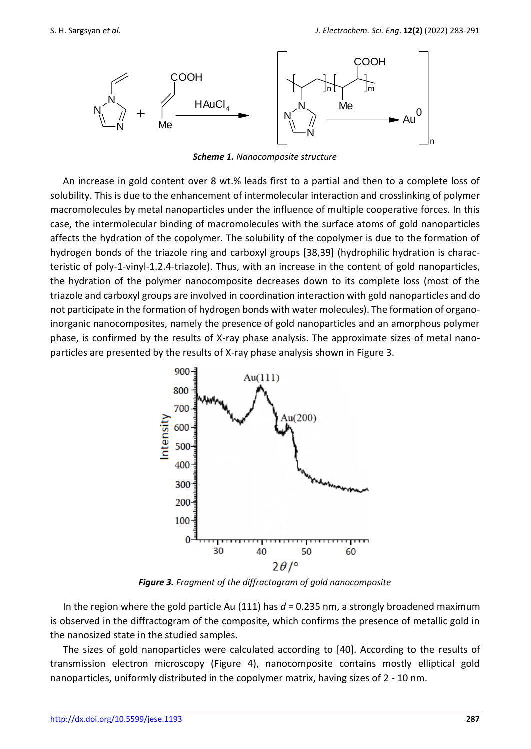

*Scheme 1. Nanocomposite structure*

An increase in gold content over 8 wt.% leads first to a partial and then to a complete loss of solubility. This is due to the enhancement of intermolecular interaction and crosslinking of polymer macromolecules by metal nanoparticles under the influence of multiple cooperative forces. In this case, the intermolecular binding of macromolecules with the surface atoms of gold nanoparticles affects the hydration of the copolymer. The solubility of the copolymer is due to the formation of hydrogen bonds of the triazole ring and carboxyl groups [38,39] (hydrophilic hydration is characteristic of poly-1-vinyl-1.2.4-triazole). Thus, with an increase in the content of gold nanoparticles, the hydration of the polymer nanocomposite decreases down to its complete loss (most of the triazole and carboxyl groups are involved in coordination interaction with gold nanoparticles and do not participate in the formation of hydrogen bonds with water molecules). The formation of organoinorganic nanocomposites, namely the presence of gold nanoparticles and an amorphous polymer phase, is confirmed by the results of X-ray phase analysis. The approximate sizes of metal nanoparticles are presented by the results of X-ray phase analysis shown in Figure 3.



*Figure 3. Fragment of the diffractogram of gold nanocomposite*

In the region where the gold particle Au (111) has *d* = 0.235 nm, a strongly broadened maximum is observed in the diffractogram of the composite, which confirms the presence of metallic gold in the nanosized state in the studied samples.

The sizes of gold nanoparticles were calculated according to [40]. According to the results of transmission electron microscopy (Figure 4), nanocomposite contains mostly elliptical gold nanoparticles, uniformly distributed in the copolymer matrix, having sizes of 2 - 10 nm.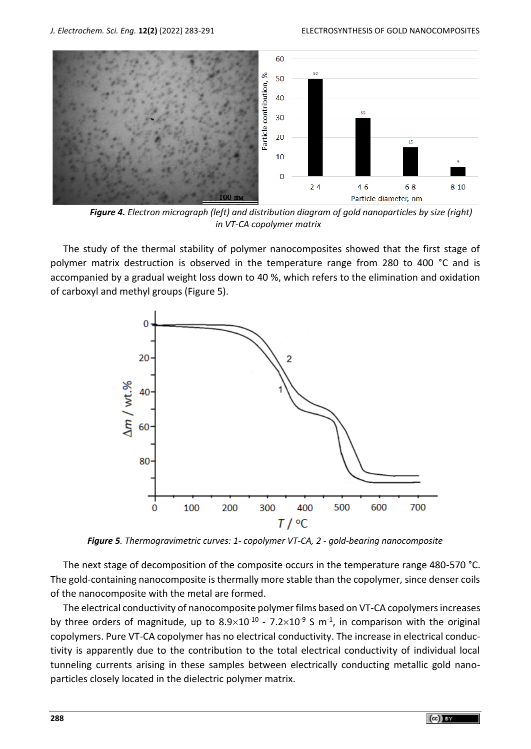

*Figure 4. Electron micrograph (left) and distribution diagram of gold nanoparticles by size (right) in VT-CA copolymer matrix*

The study of the thermal stability of polymer nanocomposites showed that the first stage of polymer matrix destruction is observed in the temperature range from 280 to 400 °C and is accompanied by a gradual weight loss down to 40 %, which refers to the elimination and oxidation of carboxyl and methyl groups (Figure 5).



*Figure 5. Thermogravimetric curves: 1- copolymer VT-CA, 2 - gold-bearing nanocomposite*

The next stage of decomposition of the composite occurs in the temperature range 480-570 °C. The gold-containing nanocomposite is thermally more stable than the copolymer, since denser coils of the nanocomposite with the metal are formed.

The electrical conductivity of nanocomposite polymer films based on VT-CA copolymers increases by three orders of magnitude, up to  $8.9\times10^{-10}$  -  $7.2\times10^{-9}$  S m<sup>-1</sup>, in comparison with the original copolymers. Pure VT-CA copolymer has no electrical conductivity. The increase in electrical conductivity is apparently due to the contribution to the total electrical conductivity of individual local tunneling currents arising in these samples between electrically conducting metallic gold nanoparticles closely located in the dielectric polymer matrix.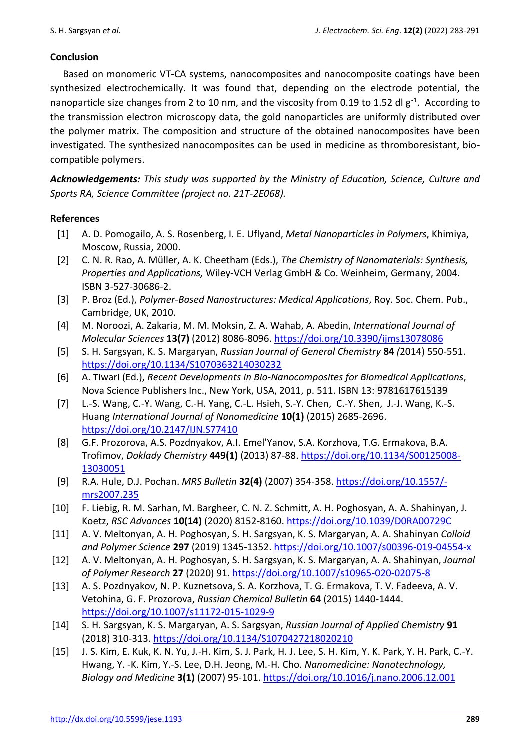## **Conclusion**

Based on monomeric VT-CA systems, nanocomposites and nanocomposite coatings have been synthesized electrochemically. It was found that, depending on the electrode potential, the nanoparticle size changes from 2 to 10 nm, and the viscosity from 0.19 to 1.52 dl  $g^{-1}$ . According to the transmission electron microscopy data, the gold nanoparticles are uniformly distributed over the polymer matrix. The composition and structure of the obtained nanocomposites have been investigated. The synthesized nanocomposites can be used in medicine as thromboresistant, biocompatible polymers.

*Acknowledgements: This study was supported by the Ministry of Education, Science, Culture and Sports RA, Science Committee (project no. 21T-2E068).*

## **References**

- [1] A. D. Pomogailo, A. S. Rosenberg, I. E. Uflyand, *Metal Nanoparticles in Polymers*, Khimiya, Moscow, Russia, 2000.
- [2] C. N. R. Rao, A. Müller, A. K. Cheetham (Eds.), *The Chemistry of Nanomaterials: Synthesis, Properties and Applications,* Wiley-VCH Verlag GmbH & Co. Weinheim, Germany, 2004. ISBN 3-527-30686-2.
- [3] P. Broz (Ed.), *Polymer-Based Nanostructures: Medical Applications*, Roy. Soc. Chem. Pub., Cambridge, UK, 2010.
- [4] M. Noroozi, A. Zakaria, M. M. Moksin, Z. A. Wahab, A. Abedin, *International Journal of Molecular Sciences* **13(7)** (2012) 8086-8096. <https://doi.org/10.3390/ijms13078086>
- [5] S. H. Sargsyan, K. S. Margaryan, *[Russian Journal of General Chemistry](https://link.springer.com/journal/11176)* **84** *(*2014) 550-551. <https://doi.org/10.1134/S1070363214030232>
- [6] A. Tiwari (Ed.), *Recent Developments in Bio-Nanocomposites for Biomedical Applications*, Nova Science Publishers Inc., New York, USA, 2011, p. 511. ISBN 13: 9781617615139
- [7] [L.-S. W](https://www.ncbi.nlm.nih.gov/pubmed/?term=Wang%20LS%5BAuthor%5D&cauthor=true&cauthor_uid=25878501)ang, C.-Y. [Wang,](https://www.ncbi.nlm.nih.gov/pubmed/?term=Wang%20CY%5BAuthor%5D&cauthor=true&cauthor_uid=25878501) [C.-H. Yang,](https://www.ncbi.nlm.nih.gov/pubmed/?term=Yang%20CH%5BAuthor%5D&cauthor=true&cauthor_uid=25878501) [C.-L. Hsieh,](https://www.ncbi.nlm.nih.gov/pubmed/?term=Hsieh%20CL%5BAuthor%5D&cauthor=true&cauthor_uid=25878501) [S.-Y. Chen,](https://www.ncbi.nlm.nih.gov/pubmed/?term=Chen%20SY%5BAuthor%5D&cauthor=true&cauthor_uid=25878501) [C.-Y. Shen,](https://www.ncbi.nlm.nih.gov/pubmed/?term=Shen%20CY%5BAuthor%5D&cauthor=true&cauthor_uid=25878501) [J.-J. Wang,](https://www.ncbi.nlm.nih.gov/pubmed/?term=Wang%20JJ%5BAuthor%5D&cauthor=true&cauthor_uid=25878501) [K.-S.](https://www.ncbi.nlm.nih.gov/pubmed/?term=Huang%20KS%5BAuthor%5D&cauthor=true&cauthor_uid=25878501)  [Huang](https://www.ncbi.nlm.nih.gov/pubmed/?term=Huang%20KS%5BAuthor%5D&cauthor=true&cauthor_uid=25878501) *[International Journal of Nanomedicine](file:///C:/Users/Admin/Downloads/International%20Journal%20of%20Nanomedicine)* **10(1)** (2015) 2685-2696. <https://doi.org/10.2147/IJN.S77410>
- [8] G.F. Prozorova, A.S. Pozdnyakov, A.I. Emel'Yanov, S.A. Korzhova, T.G. Ermakova, B.A. Trofimov, *[Doklady Chemistry](https://www.elibrary.ru/contents.asp?id=33854540)* **449(1)** (2013) 87-88. [https://doi.org/10.1134/S00125008-](https://doi.org/10.1134/S0012500813030051) [13030051](https://doi.org/10.1134/S0012500813030051)
- [9] R.A. [Hule,](https://www.cambridge.org/core/search?filters%5BauthorTerms%5D=Rohan%20A.%20Hule&eventCode=SE-AU) D.J. [Pochan.](https://www.cambridge.org/core/search?filters%5BauthorTerms%5D=Darrin%20J.%20Pochan&eventCode=SE-AU) *MRS [Bulletin](https://www.cambridge.org/core/journals/mrs-bulletin)* **32(4)** (2007) 354-358. [https://doi.org/10.1557/](https://doi.org/10.1557/mrs2007.235) [mrs2007.235](https://doi.org/10.1557/mrs2007.235)
- [10] F. Liebig, R. M. Sarhan, M. Bargheer, C. N. Z. Schmitt, A. H. Poghosyan, A. A. Shahinyan, J. Koetz, *RSC Advances* **10(14)** (2020) 8152-8160.<https://doi.org/10.1039/D0RA00729C>
- [11] A. V. Meltonyan, A. H. Poghosyan, S. H. Sargsyan, K. S. Margaryan, A. A. Shahinyan *[Colloid](https://link.springer.com/journal/396)  [and Polymer Science](https://link.springer.com/journal/396)* **297** (2019) 1345-1352.<https://doi.org/10.1007/s00396-019-04554-x>
- [12] A. V. Meltonyan, A. H. Poghosyan, S. H. Sargsyan, K. S. Margaryan, A. A. Shahinyan, *Journal of Polymer Research* **27** (2020) 91.<https://doi.org/10.1007/s10965-020-02075-8>
- [13] A. S. Pozdnyakov, N. P. Kuznetsova, S. A. Korzhova, T. G. Ermakova, T. V. Fadeeva, A. V. Vetohina, G. F. Prozorova, *Russian Chemical Bulletin* **64** (2015) 1440-1444. <https://doi.org/10.1007/s11172-015-1029-9>
- [14] S. H. Sargsyan, K. S. Margaryan, A. S. Sargsyan, *Russian Journal of Applied Chemistry* **91** (2018) 310-313.<https://doi.org/10.1134/S1070427218020210>
- [15] J. S. Kim, E. Kuk, K. N. Yu, J.-H. Kim, S. J. Park, H. J. Lee, S. H. Kim, Y. K. Park, Y. H. Park, C.-Y. Hwang, Y. -K. Kim, Y.-S. Lee, D.H. Jeong, M.-H. Cho. *Nanomedicine: Nanotechnology, Biology and Medicine* **3(1)** (2007) 95-101.<https://doi.org/10.1016/j.nano.2006.12.001>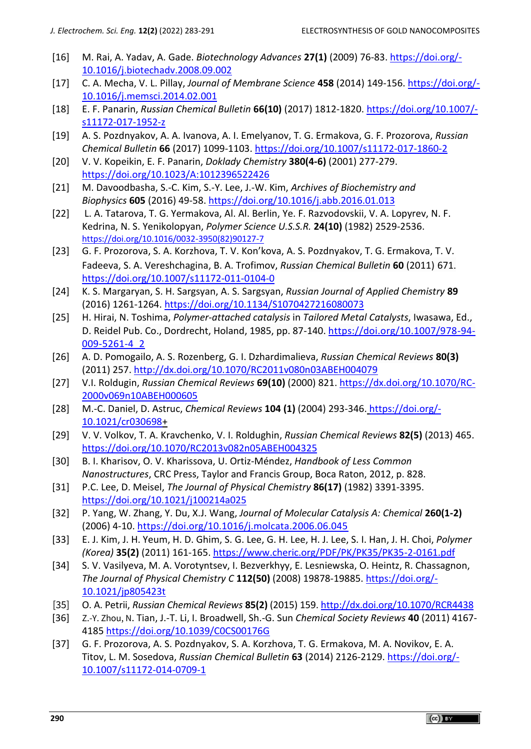- [16] M. Rai, A. Yadav, A. Gade. *Biotechnology Advances* **27(1)** (2009) 76-83[. https://doi.org/-](https://doi.org/10.1016/j.biotechadv.2008.09.002) [10.1016/j.biotechadv.2008.09.002](https://doi.org/10.1016/j.biotechadv.2008.09.002)
- [17] C. A. Mecha, V. L. Pillay, *[Journal of Membrane Science](https://www.sciencedirect.com/science/journal/03767388)* **458** (2014) 149-156. [https://doi.org/-](https://doi.org/10.1016/j.memsci.2014.02.001) [10.1016/j.memsci.2014.02.001](https://doi.org/10.1016/j.memsci.2014.02.001)
- [18] E. F. Panarin, *Russian Chemical Bulletin* **66(10)** (2017) 1812-1820. [https://doi.org/10.1007/](https://doi.org/10.1007/s11172-017-1952-z) [s11172-017-1952-z](https://doi.org/10.1007/s11172-017-1952-z)
- [19] A. S. [Pozdnyakov,](https://ur.booksc.eu/g/Pozdnyakov,%20A.%20S.) A. A. [Ivanova,](https://ur.booksc.eu/g/Ivanova,%20A.%20A.) A. I. [Emelyanov,](https://ur.booksc.eu/g/Emelyanov,%20A.%20I.) T. G. [Ermakova,](https://ur.booksc.eu/g/Ermakova,%20T.%20G.) G. F. [Prozorova,](https://ur.booksc.eu/g/Prozorova,%20G.%20F.) *[Russian](https://ur.booksc.eu/journal/21712)  [Chemical Bulletin](https://ur.booksc.eu/journal/21712)* **66** (2017) 1099-1103.<https://doi.org/10.1007/s11172-017-1860-2>
- [20] V. V. Kopeikin, E. F. Panarin, *Doklady Chemistry* **380(4-6)** (2001) 277-279. <https://doi.org/10.1023/A:1012396522426>
- [21] M. Davoodbasha, S.-C. Kim, S.-Y. Lee, J.-W. Kim, *Archives of Biochemistry and Biophysics* **605** (2016) 49-58.<https://doi.org/10.1016/j.abb.2016.01.013>
- [22] L. [A. Tatarova,](https://www.sciencedirect.com/science/article/abs/pii/0032395082901277#!) T. [G. Yermakova,](https://www.sciencedirect.com/science/article/abs/pii/0032395082901277#!) Al. [Al. Berlin,](https://www.sciencedirect.com/science/article/abs/pii/0032395082901277#!) Ye. [F. Razvodovskii, V](https://www.sciencedirect.com/science/article/abs/pii/0032395082901277#!). [A. Lopyrev, N.](https://www.sciencedirect.com/science/article/abs/pii/0032395082901277#!) F. [Kedrina, N](https://www.sciencedirect.com/science/article/abs/pii/0032395082901277#!). [S. Yenikolopyan,](https://www.sciencedirect.com/science/article/abs/pii/0032395082901277#!) *[Polymer Science U.S.S.R.](https://www.sciencedirect.com/science/journal/00323950)* **24(10)** (1982) 2529-2536. [https://doi.org/10.1016/0032-3950\(82\)90127-7](https://doi.org/10.1016/0032-3950(82)90127-7)
- [23] [G. F. Prozorova,](https://link.springer.com/article/10.1007/s11172-011-0104-0#auth-G__F_-Prozorova) [S. A. Korzhova,](https://link.springer.com/article/10.1007/s11172-011-0104-0#auth-S__A_-Korzhova) [T. V. Kon'kova](https://link.springer.com/article/10.1007/s11172-011-0104-0#auth-T__V_-Kon_kova), [A. S. Pozdnyakov,](https://link.springer.com/article/10.1007/s11172-011-0104-0#auth-A__S_-Pozdnyakov) [T. G. Ermakova,](https://link.springer.com/article/10.1007/s11172-011-0104-0#auth-T__G_-Ermakova) [T. V.](https://link.springer.com/article/10.1007/s11172-011-0104-0#auth-T__V_-Fadeeva)  [Fadeeva,](https://link.springer.com/article/10.1007/s11172-011-0104-0#auth-T__V_-Fadeeva) [S. A. Vereshchagina,](https://link.springer.com/article/10.1007/s11172-011-0104-0#auth-S__A_-Vereshchagina) [B. A. Trofimov,](https://link.springer.com/article/10.1007/s11172-011-0104-0#auth-B__A_-Trofimov) *[Russian Chemical Bulletin](https://link.springer.com/journal/11172)* **60** (2011) 671. <https://doi.org/10.1007/s11172-011-0104-0>
- [24] K. S. Margaryan, S. H. Sargsyan, A. S. Sargsyan, *Russian Journal of Applied Chemistry* **89** (2016) 1261-1264.<https://doi.org/10.1134/S1070427216080073>
- [25] H. Hirai, N. Toshima, *Polymer-attached catalysis* in *Tailored Metal Catalysts*, Iwasawa, Ed., D. Reidel Pub. Co., Dordrecht, Holand, 1985, pp. 87-140. [https://doi.org/10.1007/978-94-](https://doi.org/10.1007/978-94-009-5261-4_2) [009-5261-4\\_2](https://doi.org/10.1007/978-94-009-5261-4_2)
- [26] A. D. Pomogailo, A. S. Rozenberg, G. I. Dzhardimalieva, *Russian Chemical Reviews* **80(3)** (2011) 257.<http://dx.doi.org/10.1070/RC2011v080n03ABEH004079>
- [27] V.I. [Roldugin,](http://www.mathnet.ru/php/person.phtml?option_lang=eng&personid=69276) *[Russian Chemical Reviews](https://doi.org/10.1070%2FRC2000v069n10ABEH000605)* **69(10)** (2000) 821. [https://dx.doi.org/10.1070/RC-](https://dx.doi.org/10.1070/RC2000v069n10ABEH000605)[2000v069n10ABEH000605](https://dx.doi.org/10.1070/RC2000v069n10ABEH000605)
- [28] M.-C. Daniel, D. Astruc, *Chemical Reviews* **104 (1)** (2004) 293-346. [https://doi.org/-](https://doi.org/10.1021/cr030698) [10.1021/cr030698+](https://doi.org/10.1021/cr030698)
- [29] V. V. Volkov, T. A. Kravchenko, V. I. Roldughin, *Russian Chemical Reviews* **82(5)** (2013) 465. <https://doi.org/10.1070/RC2013v082n05ABEH004325>
- [30] B. I. Kharisov, O. V. Kharissova, U. Ortiz-Méndez, *Handbook of Less Common Nanostructures*, CRC Press, Taylor and Francis Group, Boca Raton, 2012, p. 828.
- [31] P.C. Lee, D. Meisel, *The Journal of Physical Chemistry* **86(17)** (1982) 3391-3395. <https://doi.org/10.1021/j100214a025>
- [32] P. Yang, W. Zhang, Y. Du, X.J. Wang, *[Journal of Molecular Catalysis A: Chemical](https://www.ingentaconnect.com/content/el/13811169)* **260(1-2)** (2006) 4-10.<https://doi.org/10.1016/j.molcata.2006.06.045>
- [33] E. J. Kim, J. H. Yeum, H. D. Ghim, S. G. Lee, G. H. Lee, H. J. Lee, S. I. Han, J. H. Choi, *Polymer (Korea)* **35(2)** (2011) 161-165. <https://www.cheric.org/PDF/PK/PK35/PK35-2-0161.pdf>
- [34] S. V. Vasilyeva, M. A. Vorotyntsev, I. Bezverkhyy, E. Lesniewska, O. Heintz, R. Chassagnon, *The Journal of Physical Chemistry C* **112(50)** (2008) 19878-19885. [https://doi.org/-](https://doi.org/10.1021/jp805423t) [10.1021/jp805423t](https://doi.org/10.1021/jp805423t)
- [35] O. A. Petrii, *Russian Chemical Reviews* **85(2)** (2015) 159.<http://dx.doi.org/10.1070/RCR4438>
- [36] Z.-Y. Zhou, N. Tian, J.-T. Li, I. Broadwell, Sh.-G. Sun *Chemical Society Reviews* **40** (2011) 4167- 4185 <https://doi.org/10.1039/C0CS00176G>
- [37] G. F. Prozorova, A. S. Pozdnyakov, S. A. Korzhova, T. G. Ermakova, M. A. Novikov, E. A. Titov, L. M. Sosedova, *Russian Chemical Bulletin* **63** (2014) 2126-2129. [https://doi.org/-](https://doi.org/10.1007/s11172-014-0709-1) [10.1007/s11172-014-0709-1](https://doi.org/10.1007/s11172-014-0709-1)